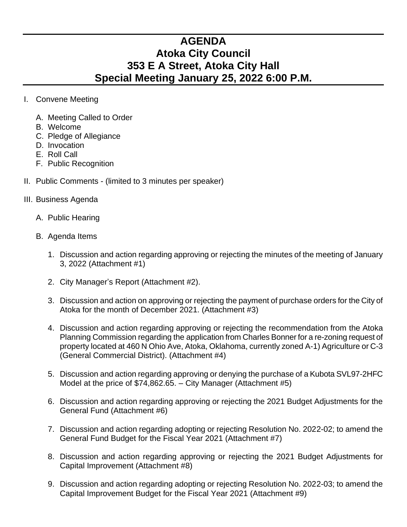## **AGENDA Atoka City Council 353 E A Street, Atoka City Hall Special Meeting January 25, 2022 6:00 P.M.**

- I. Convene Meeting
	- A. Meeting Called to Order
	- B. Welcome
	- C. Pledge of Allegiance
	- D. Invocation
	- E. Roll Call
	- F. Public Recognition
- II. Public Comments (limited to 3 minutes per speaker)
- III. Business Agenda
	- A. Public Hearing
	- B. Agenda Items
		- 1. Discussion and action regarding approving or rejecting the minutes of the meeting of January 3, 2022 (Attachment #1)
		- 2. City Manager's Report (Attachment #2).
		- 3. Discussion and action on approving or rejecting the payment of purchase orders for the City of Atoka for the month of December 2021. (Attachment #3)
		- 4. Discussion and action regarding approving or rejecting the recommendation from the Atoka Planning Commission regarding the application from Charles Bonner for a re-zoning request of property located at 460 N Ohio Ave, Atoka, Oklahoma, currently zoned A-1) Agriculture or C-3 (General Commercial District). (Attachment #4)
		- 5. Discussion and action regarding approving or denying the purchase of a Kubota SVL97-2HFC Model at the price of \$74,862.65. – City Manager (Attachment #5)
		- 6. Discussion and action regarding approving or rejecting the 2021 Budget Adjustments for the General Fund (Attachment #6)
		- 7. Discussion and action regarding adopting or rejecting Resolution No. 2022-02; to amend the General Fund Budget for the Fiscal Year 2021 (Attachment #7)
		- 8. Discussion and action regarding approving or rejecting the 2021 Budget Adjustments for Capital Improvement (Attachment #8)
		- 9. Discussion and action regarding adopting or rejecting Resolution No. 2022-03; to amend the Capital Improvement Budget for the Fiscal Year 2021 (Attachment #9)